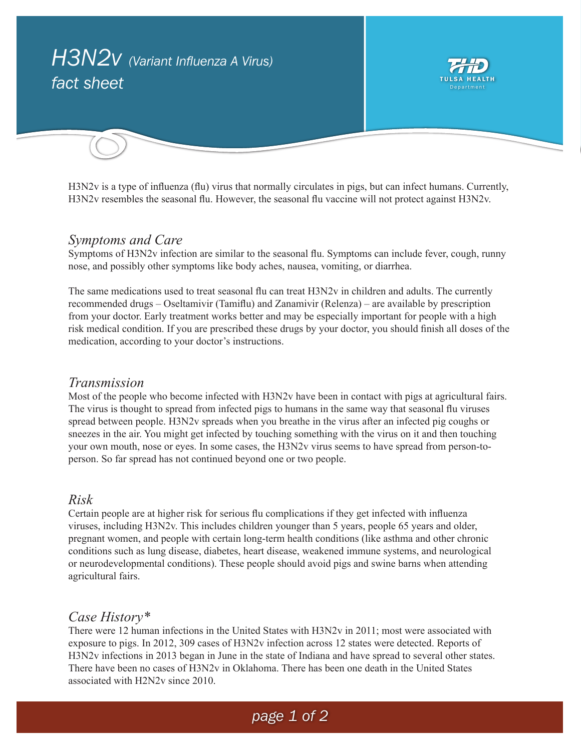

H3N2v is a type of influenza (flu) virus that normally circulates in pigs, but can infect humans. Currently, H3N2v resembles the seasonal flu. However, the seasonal flu vaccine will not protect against H3N2v.

### *Symptoms and Care*

Symptoms of H3N2v infection are similar to the seasonal flu. Symptoms can include fever, cough, runny nose, and possibly other symptoms like body aches, nausea, vomiting, or diarrhea.

The same medications used to treat seasonal flu can treat H3N2v in children and adults. The currently recommended drugs – Oseltamivir (Tamiflu) and Zanamivir (Relenza) – are available by prescription from your doctor. Early treatment works better and may be especially important for people with a high risk medical condition. If you are prescribed these drugs by your doctor, you should finish all doses of the medication, according to your doctor's instructions.

### *Transmission*

Most of the people who become infected with H3N2v have been in contact with pigs at agricultural fairs. The virus is thought to spread from infected pigs to humans in the same way that seasonal flu viruses spread between people. H3N2v spreads when you breathe in the virus after an infected pig coughs or sneezes in the air. You might get infected by touching something with the virus on it and then touching your own mouth, nose or eyes. In some cases, the H3N2v virus seems to have spread from person-toperson. So far spread has not continued beyond one or two people.

#### *Risk*

Certain people are at higher risk for serious flu complications if they get infected with influenza viruses, including H3N2v. This includes children younger than 5 years, people 65 years and older, pregnant women, and people with certain long-term health conditions (like asthma and other chronic conditions such as lung disease, diabetes, heart disease, weakened immune systems, and neurological or neurodevelopmental conditions). These people should avoid pigs and swine barns when attending agricultural fairs.

### *Case History\**

There were 12 human infections in the United States with H3N2v in 2011; most were associated with exposure to pigs. In 2012, 309 cases of H3N2v infection across 12 states were detected. Reports of H3N2v infections in 2013 began in June in the state of Indiana and have spread to several other states. There have been no cases of H3N2v in Oklahoma. There has been one death in the United States associated with H2N2v since 2010.